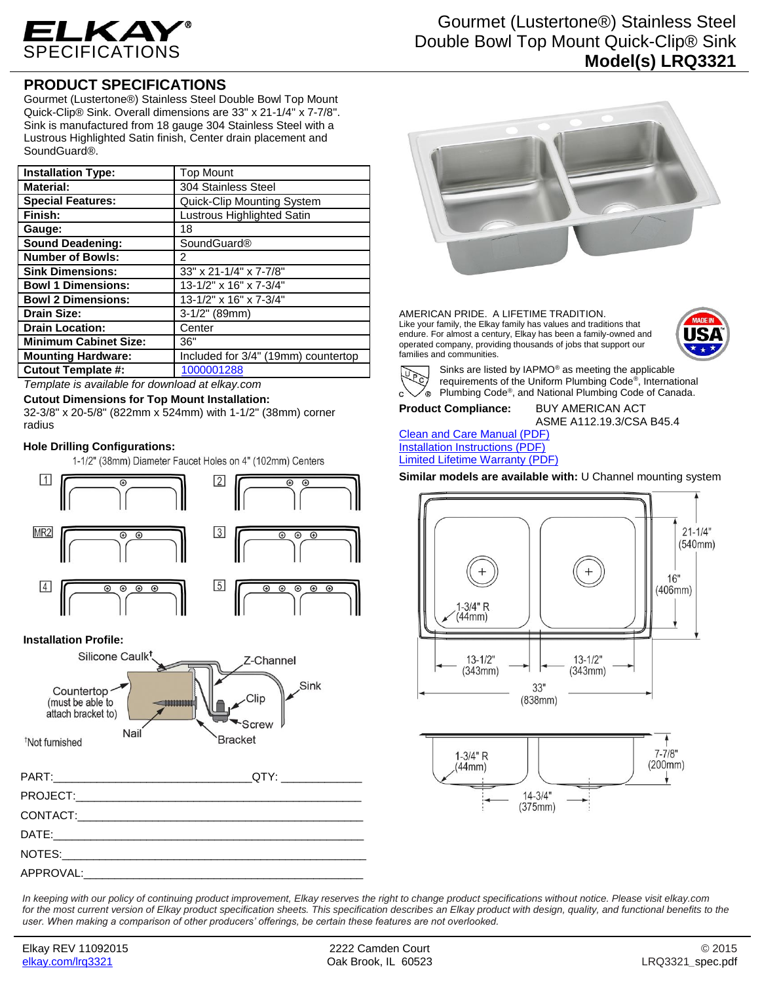

## **PRODUCT SPECIFICATIONS**

Gourmet (Lustertone®) Stainless Steel Double Bowl Top Mount Quick-Clip® Sink. Overall dimensions are 33" x 21-1/4" x 7-7/8". Sink is manufactured from 18 gauge 304 Stainless Steel with a Lustrous Highlighted Satin finish, Center drain placement and SoundGuard®.

| <b>Installation Type:</b>    | <b>Top Mount</b>                    |
|------------------------------|-------------------------------------|
| <b>Material:</b>             | 304 Stainless Steel                 |
| <b>Special Features:</b>     | Quick-Clip Mounting System          |
| Finish:                      | Lustrous Highlighted Satin          |
| Gauge:                       | 18                                  |
| <b>Sound Deadening:</b>      | <b>SoundGuard®</b>                  |
| <b>Number of Bowls:</b>      | 2                                   |
| <b>Sink Dimensions:</b>      | 33" x 21-1/4" x 7-7/8"              |
| <b>Bowl 1 Dimensions:</b>    | 13-1/2" x 16" x 7-3/4"              |
| <b>Bowl 2 Dimensions:</b>    | 13-1/2" x 16" x 7-3/4"              |
| <b>Drain Size:</b>           | $3-1/2"$ (89mm)                     |
| <b>Drain Location:</b>       | Center                              |
| <b>Minimum Cabinet Size:</b> | 36"                                 |
| <b>Mounting Hardware:</b>    | Included for 3/4" (19mm) countertop |
| <b>Cutout Template #:</b>    | 1000001288                          |

*Template is available for download at elkay.com*

**Cutout Dimensions for Top Mount Installation:**

32-3/8" x 20-5/8" (822mm x 524mm) with 1-1/2" (38mm) corner radius

## **Hole Drilling Configurations:**

1-1/2" (38mm) Diameter Faucet Holes on 4" (102mm) Centers



## **Installation Profile:**





AMERICAN PRIDE. A LIFETIME TRADITION. Like your family, the Elkay family has values and traditions that endure. For almost a century, Elkay has been a family-owned and operated company, providing thousands of jobs that support our families and communities.





Sinks are listed by IAPMO® as meeting the applicable requirements of the Uniform Plumbing Code® , International Plumbing Code® , and National Plumbing Code of Canada.

**Product Compliance:** BUY AMERICAN ACT

ASME A112.19.3/CSA B45.4

[Clean and Care Manual \(PDF\)](http://www.elkay.com/wcsstore/lkdocs/care-cleaning-install-warranty-sheets/residential%20and%20commercial%20care%20%20cleaning.pdf) [Installation Instructions \(PDF\)](http://www.elkay.com/wcsstore/lkdocs/care-cleaning-install-warranty-sheets/74180271.pdf) [Limited Lifetime Warranty](http://www.elkay.com/wcsstore/lkdocs/care-cleaning-install-warranty-sheets/residential%20sinks%20warranty.pdf) (PDF)

**Similar models are available with:** U Channel mounting system





*In keeping with our policy of continuing product improvement, Elkay reserves the right to change product specifications without notice. Please visit elkay.com*  for the most current version of Elkay product specification sheets. This specification describes an Elkay product with design, quality, and functional benefits to the *user. When making a comparison of other producers' offerings, be certain these features are not overlooked.*

APPROVAL: